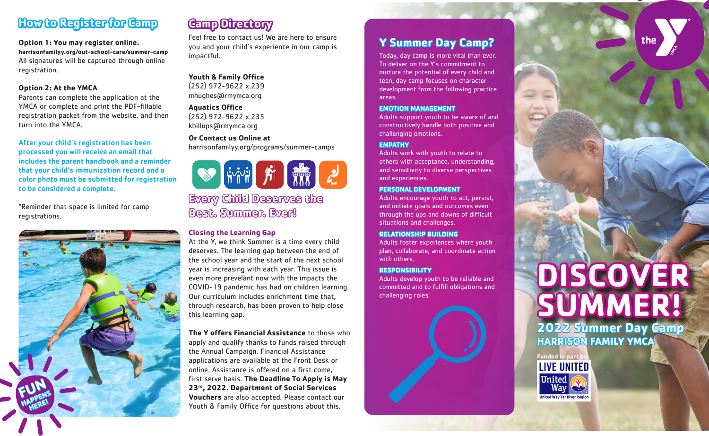# **How to Register for Camp**

#### **Option 1: You may register online.**

**harrisonfamilyy.org/out-school-care/summer-camp** All signatures will be captured through online registration.

#### **Option 2: At the YMCA**

Parents can complete the application at the YMCA or complete and print the PDF-fillable registration packet from the website, and then turn into the YMCA.

After your child's registration has been processed you will receive an email that includes the parent handbook and a reminder that your child's immunization record and a color photo must be submitted for registration to be considered a complete.

\*Reminder that space is limited for camp registrations.



# **Camp Directory**

Feel free to contact us! We are here to ensure you and your child's experience in our camp is impactful.

**Youth & Family Office** (252) 972-9622 x.239 mhughes@rmymca.org

**Aquatics Office**

(252) 972-9622 x.235 kbillups@rmymca.org

**Or Contact us Online at**  harrisonfamilyy.org/programs/summer-camps

**前前 所 體 之** 

**Every Child Deserves the Best. Summer. Ever!**

#### **Closing the Learning Gap**

At the Y, we think Summer is a time every child deserves. The learning gap between the end of the school year and the start of the next school year is increasing with each year. This issue is even more prevelant now with the impacts the COVID-19 pandemic has had on children learning. Our curriculum includes enrichment time that, through research, has been proven to help close this learning gap.

**The Y offers Financial Assistance** to those who apply and qualify thanks to funds raised through the Annual Campaign. Financial Assistance applications are available at the Front Desk or online. Assistance is offered on a first come, first serve basis. **The Deadline To Apply is May 23rd, 2022. Department of Social Services Vouchers** are also accepted. Please contact our Youth & Family Office for questions about this.

# **Y Summer Day Camp?**

Today, day camp is more vital than ever. To deliver on the Y's commitment to nurture the potential of every child and teen, day camp focuses on character development from the following practice areas:

#### EMOTION MANAGEMENT

Adults support youth to be aware of and constructively handle both positive and challenging emotions.

#### **EMPATHY**

Adults work with youth to relate to others with acceptance, understanding, and sensitivity to diverse perspectives and experiences.

#### PERSONAL DEVELOPMENT

Adults encourage youth to act, persist, and initiate goals and outcomes even through the ups and downs of difficult situations and challenges.

#### **RELATIONSHIP BUILDING**

Adults foster experiences where youth plan, collaborate, and coordinate action with others.

#### **RESPONSIBILITY**

Adults develop youth to be reliable and committed and to fulfill obligations and challenging roles.

# **DISCOVER SUMMER! 2022 Summer Day Camp HARRISON FAMILY YMCA**